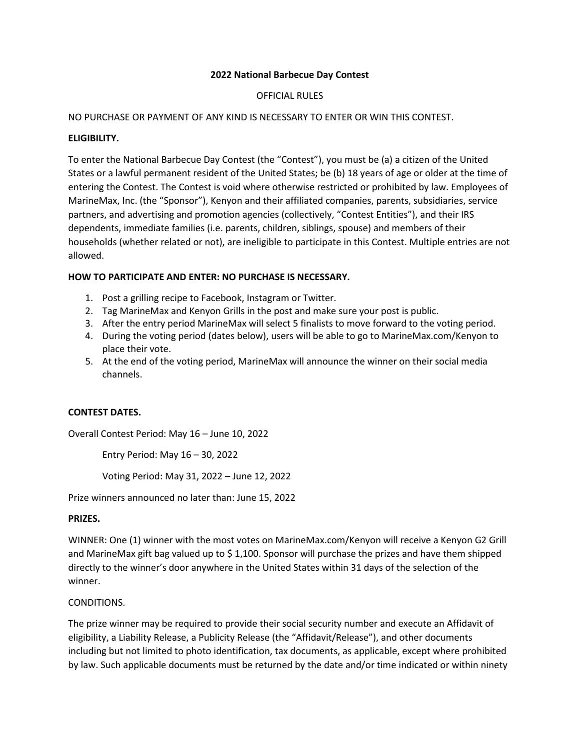## **2022 National Barbecue Day Contest**

## OFFICIAL RULES

#### NO PURCHASE OR PAYMENT OF ANY KIND IS NECESSARY TO ENTER OR WIN THIS CONTEST.

#### **ELIGIBILITY.**

To enter the National Barbecue Day Contest (the "Contest"), you must be (a) a citizen of the United States or a lawful permanent resident of the United States; be (b) 18 years of age or older at the time of entering the Contest. The Contest is void where otherwise restricted or prohibited by law. Employees of MarineMax, Inc. (the "Sponsor"), Kenyon and their affiliated companies, parents, subsidiaries, service partners, and advertising and promotion agencies (collectively, "Contest Entities"), and their IRS dependents, immediate families (i.e. parents, children, siblings, spouse) and members of their households (whether related or not), are ineligible to participate in this Contest. Multiple entries are not allowed.

### **HOW TO PARTICIPATE AND ENTER: NO PURCHASE IS NECESSARY.**

- 1. Post a grilling recipe to Facebook, Instagram or Twitter.
- 2. Tag MarineMax and Kenyon Grills in the post and make sure your post is public.
- 3. After the entry period MarineMax will select 5 finalists to move forward to the voting period.
- 4. During the voting period (dates below), users will be able to go to MarineMax.com/Kenyon to place their vote.
- 5. At the end of the voting period, MarineMax will announce the winner on their social media channels.

## **CONTEST DATES.**

Overall Contest Period: May 16 – June 10, 2022

Entry Period: May 16 – 30, 2022

Voting Period: May 31, 2022 – June 12, 2022

Prize winners announced no later than: June 15, 2022

#### **PRIZES.**

WINNER: One (1) winner with the most votes on MarineMax.com/Kenyon will receive a Kenyon G2 Grill and MarineMax gift bag valued up to \$ 1,100. Sponsor will purchase the prizes and have them shipped directly to the winner's door anywhere in the United States within 31 days of the selection of the winner.

## CONDITIONS.

The prize winner may be required to provide their social security number and execute an Affidavit of eligibility, a Liability Release, a Publicity Release (the "Affidavit/Release"), and other documents including but not limited to photo identification, tax documents, as applicable, except where prohibited by law. Such applicable documents must be returned by the date and/or time indicated or within ninety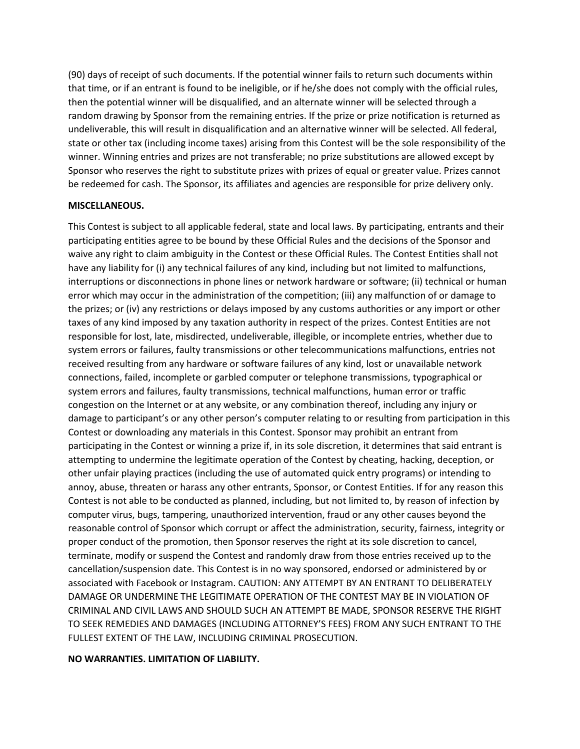(90) days of receipt of such documents. If the potential winner fails to return such documents within that time, or if an entrant is found to be ineligible, or if he/she does not comply with the official rules, then the potential winner will be disqualified, and an alternate winner will be selected through a random drawing by Sponsor from the remaining entries. If the prize or prize notification is returned as undeliverable, this will result in disqualification and an alternative winner will be selected. All federal, state or other tax (including income taxes) arising from this Contest will be the sole responsibility of the winner. Winning entries and prizes are not transferable; no prize substitutions are allowed except by Sponsor who reserves the right to substitute prizes with prizes of equal or greater value. Prizes cannot be redeemed for cash. The Sponsor, its affiliates and agencies are responsible for prize delivery only.

### **MISCELLANEOUS.**

This Contest is subject to all applicable federal, state and local laws. By participating, entrants and their participating entities agree to be bound by these Official Rules and the decisions of the Sponsor and waive any right to claim ambiguity in the Contest or these Official Rules. The Contest Entities shall not have any liability for (i) any technical failures of any kind, including but not limited to malfunctions, interruptions or disconnections in phone lines or network hardware or software; (ii) technical or human error which may occur in the administration of the competition; (iii) any malfunction of or damage to the prizes; or (iv) any restrictions or delays imposed by any customs authorities or any import or other taxes of any kind imposed by any taxation authority in respect of the prizes. Contest Entities are not responsible for lost, late, misdirected, undeliverable, illegible, or incomplete entries, whether due to system errors or failures, faulty transmissions or other telecommunications malfunctions, entries not received resulting from any hardware or software failures of any kind, lost or unavailable network connections, failed, incomplete or garbled computer or telephone transmissions, typographical or system errors and failures, faulty transmissions, technical malfunctions, human error or traffic congestion on the Internet or at any website, or any combination thereof, including any injury or damage to participant's or any other person's computer relating to or resulting from participation in this Contest or downloading any materials in this Contest. Sponsor may prohibit an entrant from participating in the Contest or winning a prize if, in its sole discretion, it determines that said entrant is attempting to undermine the legitimate operation of the Contest by cheating, hacking, deception, or other unfair playing practices (including the use of automated quick entry programs) or intending to annoy, abuse, threaten or harass any other entrants, Sponsor, or Contest Entities. If for any reason this Contest is not able to be conducted as planned, including, but not limited to, by reason of infection by computer virus, bugs, tampering, unauthorized intervention, fraud or any other causes beyond the reasonable control of Sponsor which corrupt or affect the administration, security, fairness, integrity or proper conduct of the promotion, then Sponsor reserves the right at its sole discretion to cancel, terminate, modify or suspend the Contest and randomly draw from those entries received up to the cancellation/suspension date. This Contest is in no way sponsored, endorsed or administered by or associated with Facebook or Instagram. CAUTION: ANY ATTEMPT BY AN ENTRANT TO DELIBERATELY DAMAGE OR UNDERMINE THE LEGITIMATE OPERATION OF THE CONTEST MAY BE IN VIOLATION OF CRIMINAL AND CIVIL LAWS AND SHOULD SUCH AN ATTEMPT BE MADE, SPONSOR RESERVE THE RIGHT TO SEEK REMEDIES AND DAMAGES (INCLUDING ATTORNEY'S FEES) FROM ANY SUCH ENTRANT TO THE FULLEST EXTENT OF THE LAW, INCLUDING CRIMINAL PROSECUTION.

#### **NO WARRANTIES. LIMITATION OF LIABILITY.**